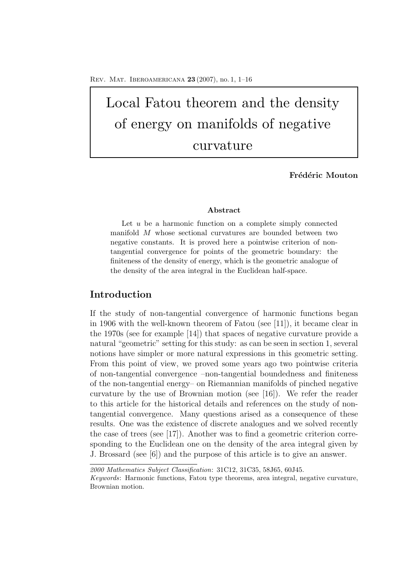# Local Fatou theorem and the density of energy on manifolds of negative curvature

Frédéric Mouton

#### **Abstract**

Let *u* be a harmonic function on a complete simply connected manifold *M* whose sectional curvatures are bounded between two negative constants. It is proved here a pointwise criterion of nontangential convergence for points of the geometric boundary: the finiteness of the density of energy, which is the geometric analogue of the density of the area integral in the Euclidean half-space.

## **Introduction**

If the study of non-tangential convergence of harmonic functions began in 1906 with the well-known theorem of Fatou (see [11]), it became clear in the 1970s (see for example [14]) that spaces of negative curvature provide a natural "geometric" setting for this study: as can be seen in section 1, several notions have simpler or more natural expressions in this geometric setting. From this point of view, we proved some years ago two pointwise criteria of non-tangential convergence –non-tangential boundedness and finiteness of the non-tangential energy– on Riemannian manifolds of pinched negative curvature by the use of Brownian motion (see [16]). We refer the reader to this article for the historical details and references on the study of nontangential convergence. Many questions arised as a consequence of these results. One was the existence of discrete analogues and we solved recently the case of trees (see [17]). Another was to find a geometric criterion corresponding to the Euclidean one on the density of the area integral given by J. Brossard (see [6]) and the purpose of this article is to give an answer.

*<sup>2000</sup> Mathematics Subject Classification*: 31C12, 31C35, 58J65, 60J45.

*Keywords*: Harmonic functions, Fatou type theorems, area integral, negative curvature, Brownian motion.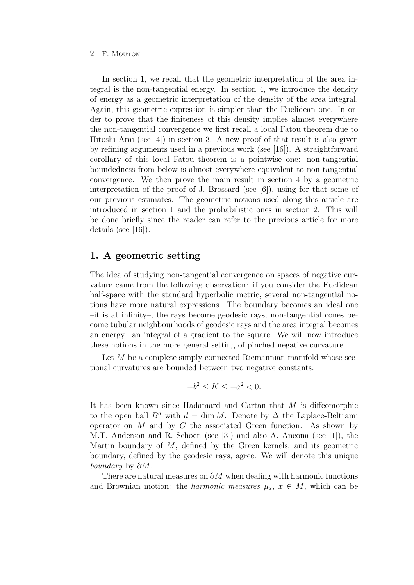In section 1, we recall that the geometric interpretation of the area integral is the non-tangential energy. In section 4, we introduce the density of energy as a geometric interpretation of the density of the area integral. Again, this geometric expression is simpler than the Euclidean one. In order to prove that the finiteness of this density implies almost everywhere the non-tangential convergence we first recall a local Fatou theorem due to Hitoshi Arai (see  $[4]$ ) in section 3. A new proof of that result is also given by refining arguments used in a previous work (see [16]). A straightforward corollary of this local Fatou theorem is a pointwise one: non-tangential boundedness from below is almost everywhere equivalent to non-tangential convergence. We then prove the main result in section 4 by a geometric interpretation of the proof of J. Brossard (see [6]), using for that some of our previous estimates. The geometric notions used along this article are introduced in section 1 and the probabilistic ones in section 2. This will be done briefly since the reader can refer to the previous article for more details (see [16]).

## **1. A geometric setting**

The idea of studying non-tangential convergence on spaces of negative curvature came from the following observation: if you consider the Euclidean half-space with the standard hyperbolic metric, several non-tangential notions have more natural expressions. The boundary becomes an ideal one –it is at infinity–, the rays become geodesic rays, non-tangential cones become tubular neighbourhoods of geodesic rays and the area integral becomes an energy –an integral of a gradient to the square. We will now introduce these notions in the more general setting of pinched negative curvature.

Let  $M$  be a complete simply connected Riemannian manifold whose sectional curvatures are bounded between two negative constants:

$$
-b^2 \le K \le -a^2 < 0.
$$

It has been known since Hadamard and Cartan that M is diffeomorphic to the open ball  $B^d$  with  $d = \dim M$ . Denote by  $\Delta$  the Laplace-Beltrami operator on  $M$  and by  $G$  the associated Green function. As shown by M.T. Anderson and R. Schoen (see [3]) and also A. Ancona (see [1]), the Martin boundary of  $M$ , defined by the Green kernels, and its geometric boundary, defined by the geodesic rays, agree. We will denote this unique *boundary* by ∂M.

There are natural measures on  $\partial M$  when dealing with harmonic functions and Brownian motion: the *harmonic measures*  $\mu_x$ ,  $x \in M$ , which can be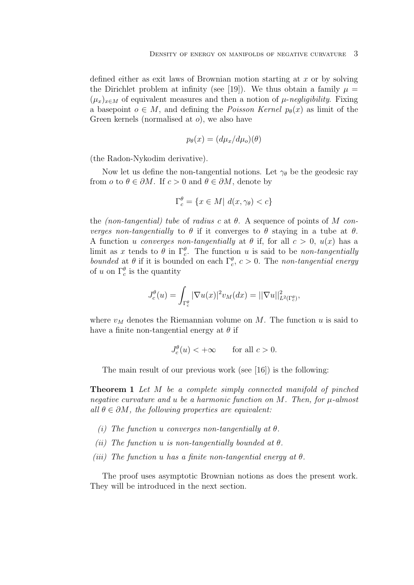defined either as exit laws of Brownian motion starting at  $x$  or by solving the Dirichlet problem at infinity (see [19]). We thus obtain a family  $\mu =$  $(\mu_x)_{x\in M}$  of equivalent measures and then a notion of  $\mu$ -*negligibility*. Fixing a basepoint  $o \in M$ , and defining the *Poisson Kernel*  $p_{\theta}(x)$  as limit of the Green kernels (normalised at o), we also have

$$
p_{\theta}(x) = (d\mu_x/d\mu_o)(\theta)
$$

(the Radon-Nykodim derivative).

Now let us define the non-tangential notions. Let  $\gamma_{\theta}$  be the geodesic ray from  $o$  to  $\theta \in \partial M$ . If  $c > 0$  and  $\theta \in \partial M$ , denote by

$$
\Gamma_c^{\theta} = \{ x \in M | d(x, \gamma_{\theta}) < c \}
$$

the *(non-tangential) tube* of *radius* c at θ. A sequence of points of M *converges non-tangentially* to  $\theta$  if it converges to  $\theta$  staying in a tube at  $\theta$ . A function u *converges non-tangentially* at  $\theta$  if, for all  $c > 0$ ,  $u(x)$  has a limit as x tends to  $\theta$  in  $\Gamma_c^{\theta}$ . The function u is said to be *non-tangentially bounded* at  $\theta$  if it is bounded on each  $\Gamma_c^{\theta}$ ,  $c > 0$ . The *non-tangential energy* of u on  $\Gamma_c^{\theta}$  is the quantity

$$
J_c^{\theta}(u) = \int_{\Gamma_c^{\theta}} |\nabla u(x)|^2 v_M(dx) = ||\nabla u||^2_{L^2(\Gamma_c^{\theta})},
$$

where  $v_M$  denotes the Riemannian volume on M. The function u is said to have a finite non-tangential energy at  $\theta$  if

$$
J_c^{\theta}(u) < +\infty \quad \text{for all } c > 0.
$$

The main result of our previous work (see [16]) is the following:

**Theorem 1** *Let* M *be a complete simply connected manifold of pinched negative curvature and* u *be a harmonic function on* M*. Then, for* µ*-almost all*  $\theta \in \partial M$ , the following properties are equivalent:

- *(i) The function* u *converges non-tangentially at* θ*.*
- *(ii) The function* u *is non-tangentially bounded at* θ*.*
- *(iii) The function* u *has a finite non-tangential energy at* θ*.*

The proof uses asymptotic Brownian notions as does the present work. They will be introduced in the next section.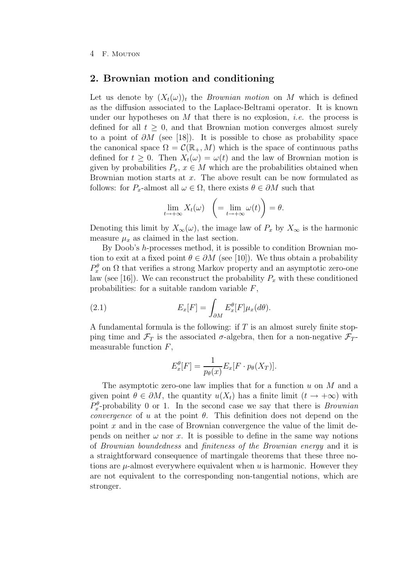## **2. Brownian motion and conditioning**

Let us denote by  $(X_t(\omega))_t$  the *Brownian motion* on M which is defined as the diffusion associated to the Laplace-Beltrami operator. It is known under our hypotheses on M that there is no explosion, *i.e.* the process is defined for all  $t > 0$ , and that Brownian motion converges almost surely to a point of  $\partial M$  (see [18]). It is possible to chose as probability space the canonical space  $\Omega = \mathcal{C}(\mathbb{R}_+, M)$  which is the space of continuous paths defined for  $t \geq 0$ . Then  $X_t(\omega) = \omega(t)$  and the law of Brownian motion is given by probabilities  $P_x, x \in M$  which are the probabilities obtained when Brownian motion starts at x. The above result can be now formulated as follows: for  $P_x$ -almost all  $\omega \in \Omega$ , there exists  $\theta \in \partial M$  such that

$$
\lim_{t \to +\infty} X_t(\omega) \quad \left( = \lim_{t \to +\infty} \omega(t) \right) = \theta.
$$

Denoting this limit by  $X_{\infty}(\omega)$ , the image law of  $P_x$  by  $X_{\infty}$  is the harmonic measure  $\mu_x$  as claimed in the last section.

By Doob's h-processes method, it is possible to condition Brownian motion to exit at a fixed point  $\theta \in \partial M$  (see [10]). We thus obtain a probability  $P_x^{\theta}$  on  $\Omega$  that verifies a strong Markov property and an asymptotic zero-one law (see [16]). We can reconstruct the probability  $P_x$  with these conditioned probabilities: for a suitable random variable  $F$ ,

(2.1) 
$$
E_x[F] = \int_{\partial M} E_x^{\theta}[F] \mu_x(d\theta).
$$

A fundamental formula is the following: if  $T$  is an almost surely finite stopping time and  $\mathcal{F}_T$  is the associated  $\sigma$ -algebra, then for a non-negative  $\mathcal{F}_T$ measurable function  $F$ ,

$$
E_x^{\theta}[F] = \frac{1}{p_{\theta}(x)} E_x[F \cdot p_{\theta}(X_T)].
$$

The asymptotic zero-one law implies that for a function  $u$  on  $M$  and a given point  $\theta \in \partial M$ , the quantity  $u(X_t)$  has a finite limit  $(t \to +\infty)$  with  $P_x^{\theta}$ -probability 0 or 1. In the second case we say that there is *Brownian convergence* of u at the point  $\theta$ . This definition does not depend on the point  $x$  and in the case of Brownian convergence the value of the limit depends on neither  $\omega$  nor x. It is possible to define in the same way notions of *Brownian boundedness* and *finiteness of the Brownian energy* and it is a straightforward consequence of martingale theorems that these three notions are  $\mu$ -almost everywhere equivalent when u is harmonic. However they are not equivalent to the corresponding non-tangential notions, which are stronger.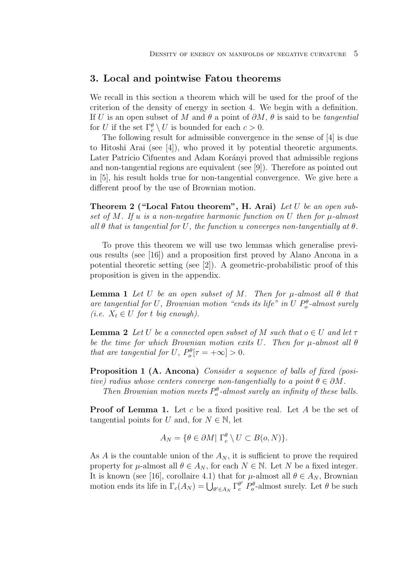## **3. Local and pointwise Fatou theorems**

We recall in this section a theorem which will be used for the proof of the criterion of the density of energy in section 4. We begin with a definition. If U is an open subset of M and θ a point of ∂M, θ is said to be *tangential* for U if the set  $\Gamma_c^{\theta} \setminus U$  is bounded for each  $c > 0$ .

The following result for admissible convergence in the sense of [4] is due to Hitoshi Arai (see [4]), who proved it by potential theoretic arguments. Later Patricio Cifuentes and Adam Korányi proved that admissible regions and non-tangential regions are equivalent (see [9]). Therefore as pointed out in [5], his result holds true for non-tangential convergence. We give here a different proof by the use of Brownian motion.

**Theorem 2 ("Local Fatou theorem", H. Arai)** *Let* U *be an open subset of* M*. If* u *is a non-negative harmonic function on* U *then for* µ*-almost all* θ *that is tangential for* U*, the function* u *converges non-tangentially at* θ*.*

To prove this theorem we will use two lemmas which generalise previous results (see [16]) and a proposition first proved by Alano Ancona in a potential theoretic setting (see [2]). A geometric-probabilistic proof of this proposition is given in the appendix.

**Lemma 1** Let U be an open subset of M. Then for  $\mu$ -almost all  $\theta$  that are tangential for U, Brownian motion "ends its life" in U  $P_o^{\theta}$ -almost surely *(i.e.*  $X_t \in U$  *for t big enough*).

**Lemma 2** *Let* U *be a connected open subset of* M *such that*  $o \in U$  *and let*  $\tau$ *be the time for which Brownian motion exits* U*. Then for* µ*-almost all* θ *that are tangential for* U,  $P_o^{\theta}[\tau = +\infty] > 0$ .

**Proposition 1 (A. Ancona)** *Consider a sequence of balls of fixed (positive)* radius whose centers converge non-tangentially to a point  $\theta \in \partial M$ .

Then Brownian motion meets  $P_o^{\theta}$ -almost surely an infinity of these balls.

**Proof of Lemma 1.** Let c be a fixed positive real. Let A be the set of tangential points for U and, for  $N \in \mathbb{N}$ , let

$$
A_N = \{ \theta \in \partial M \mid \Gamma_c^{\theta} \setminus U \subset B(o, N) \}.
$$

As A is the countable union of the  $A_N$ , it is sufficient to prove the required property for  $\mu$ -almost all  $\theta \in A_N$ , for each  $N \in \mathbb{N}$ . Let N be a fixed integer. It is known (see [16], corollaire 4.1) that for  $\mu$ -almost all  $\theta \in A_N$ , Brownian motion ends its life in  $\Gamma_c(A_N) = \bigcup_{\theta' \in A_N} \Gamma_c^{\theta'} P_o^{\theta}$ -almost surely. Let  $\theta$  be such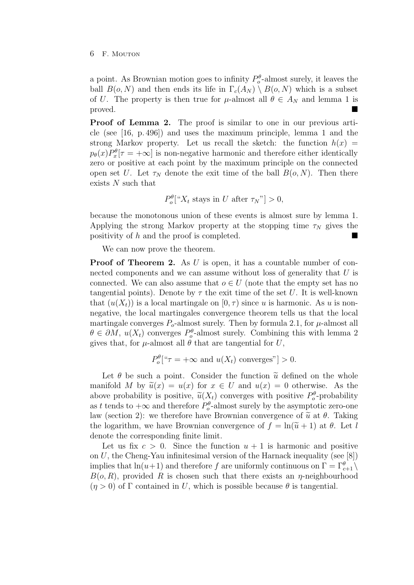#### 6 F. Mouton

a point. As Brownian motion goes to infinity  $P_o^{\theta}$ -almost surely, it leaves the ball  $B(o, N)$  and then ends its life in  $\Gamma_c(A_N) \setminus B(o, N)$  which is a subset of U. The property is then true for  $\mu$ -almost all  $\theta \in A_N$  and lemma 1 is proved.

**Proof of Lemma 2.** The proof is similar to one in our previous article (see [16, p. 496]) and uses the maximum principle, lemma 1 and the strong Markov property. Let us recall the sketch: the function  $h(x)$  $p_{\theta}(x)P_{x}^{\theta}[\tau = +\infty]$  is non-negative harmonic and therefore either identically zero or positive at each point by the maximum principle on the connected open set U. Let  $\tau_N$  denote the exit time of the ball  $B(o, N)$ . Then there exists N such that

 $P_o^{\theta}$ [" $X_t$  stays in U after  $\tau_N$ "] > 0,

because the monotonous union of these events is almost sure by lemma 1. Applying the strong Markov property at the stopping time  $\tau_N$  gives the positivity of h and the proof is completed.

We can now prove the theorem.

**Proof of Theorem 2.** As U is open, it has a countable number of connected components and we can assume without loss of generality that U is connected. We can also assume that  $o \in U$  (note that the empty set has no tangential points). Denote by  $\tau$  the exit time of the set U. It is well-known that  $(u(X_t))$  is a local martingale on  $[0, \tau)$  since u is harmonic. As u is nonnegative, the local martingales convergence theorem tells us that the local martingale converges  $P_o$ -almost surely. Then by formula 2.1, for  $\mu$ -almost all  $\theta \in \partial M$ ,  $u(X_t)$  converges  $P_o^{\theta}$ -almost surely. Combining this with lemma 2 gives that, for  $\mu$ -almost all  $\theta$  that are tangential for U,

$$
P_o^{\theta}["\tau = +\infty \text{ and } u(X_t) \text{ converges" } > 0.
$$

Let  $\theta$  be such a point. Consider the function  $\tilde{u}$  defined on the whole manifold M by  $\tilde{u}(x) = u(x)$  for  $x \in U$  and  $u(x) = 0$  otherwise. As the above probability is positive,  $\tilde{u}(X_t)$  converges with positive  $P_o^{\theta}$ -probability as t tends to  $+\infty$  and therefore  $P_o^{\theta}$ -almost surely by the asymptotic zero-one law (section 2): we therefore have Brownian convergence of  $\tilde{u}$  at  $\theta$ . Taking the logarithm, we have Brownian convergence of  $f = \ln(\tilde{u} + 1)$  at  $\theta$ . Let l denote the corresponding finite limit.

Let us fix  $c > 0$ . Since the function  $u + 1$  is harmonic and positive on  $U$ , the Cheng-Yau infinitesimal version of the Harnack inequality (see [8]) implies that  $\ln(u+1)$  and therefore f are uniformly continuous on  $\Gamma = \Gamma_{c+1}^{\theta} \setminus \Gamma$  $B(o, R)$ , provided R is chosen such that there exists an  $\eta$ -neighbourhood  $(\eta > 0)$  of  $\Gamma$  contained in U, which is possible because  $\theta$  is tangential.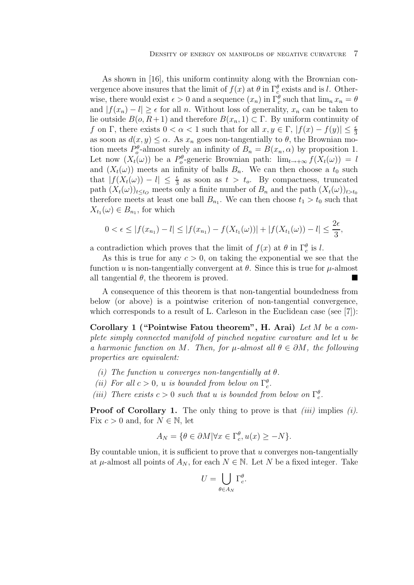As shown in [16], this uniform continuity along with the Brownian convergence above insures that the limit of  $f(x)$  at  $\theta$  in  $\Gamma_c^{\theta}$  exists and is l. Otherwise, there would exist  $\epsilon > 0$  and a sequence  $(x_n)$  in  $\Gamma_c^{\theta}$  such that  $\lim_n x_n = \theta$ and  $|f(x_n) - l| \geq \epsilon$  for all n. Without loss of generality,  $x_n$  can be taken to lie outside  $B(o, R+1)$  and therefore  $B(x_n, 1) \subset \Gamma$ . By uniform continuity of f on Γ, there exists  $0 < \alpha < 1$  such that for all  $x, y \in \Gamma$ ,  $|f(x) - f(y)| \leq \frac{\epsilon}{3}$ as soon as  $d(x, y) \leq \alpha$ . As  $x_n$  goes non-tangentially to  $\theta$ , the Brownian motion meets  $P_o^{\theta}$ -almost surely an infinity of  $B_n = B(x_n, \alpha)$  by proposition 1. Let now  $(X_t(\omega))$  be a  $P_o^{\theta}$ -generic Brownian path:  $\lim_{t\to+\infty} f(X_t(\omega)) = l$ and  $(X_t(\omega))$  meets an infinity of balls  $B_n$ . We can then choose a  $t_0$  such that  $|f(X_t(\omega)) - l| \leq \frac{\epsilon}{3}$  as soon as  $t > t_o$ . By compactness, truncated path  $(X_t(\omega))_{t\leq t_0}$  meets only a finite number of  $B_n$  and the path  $(X_t(\omega))_{t>t_0}$ therefore meets at least one ball  $B_{n_1}$ . We can then choose  $t_1 > t_0$  such that  $X_{t_1}(\omega) \in B_{n_1}$ , for which

$$
0 < \epsilon \le |f(x_{n_1}) - l| \le |f(x_{n_1}) - f(X_{t_1}(\omega))| + |f(X_{t_1}(\omega)) - l| \le \frac{2\epsilon}{3},
$$

a contradiction which proves that the limit of  $f(x)$  at  $\theta$  in  $\Gamma_c^{\theta}$  is l.

As this is true for any  $c > 0$ , on taking the exponential we see that the function u is non-tangentially convergent at  $\theta$ . Since this is true for  $\mu$ -almost all tangential  $\theta$ , the theorem is proved.

A consequence of this theorem is that non-tangential boundedness from below (or above) is a pointwise criterion of non-tangential convergence, which corresponds to a result of L. Carleson in the Euclidean case (see [7]):

**Corollary 1 ("Pointwise Fatou theorem", H. Arai)** *Let* M *be a complete simply connected manifold of pinched negative curvature and let* u *be a harmonic function on M*. Then, for  $\mu$ -almost all  $\theta \in \partial M$ , the following *properties are equivalent:*

- *(i) The function* u *converges non-tangentially at* θ*.*
- (*ii*) For all  $c > 0$ , *u is bounded from below on*  $\Gamma_c^{\theta}$ .
- (*iii*) There exists  $c > 0$  such that u *is bounded from below on*  $\Gamma_c^{\theta}$ .

**Proof of Corollary 1.** The only thing to prove is that *(iii)* implies *(i)*. Fix  $c > 0$  and, for  $N \in \mathbb{N}$ , let

$$
A_N = \{ \theta \in \partial M | \forall x \in \Gamma_c^{\theta}, u(x) \ge -N \}.
$$

By countable union, it is sufficient to prove that  $u$  converges non-tangentially at  $\mu$ -almost all points of  $A_N$ , for each  $N \in \mathbb{N}$ . Let N be a fixed integer. Take

$$
U = \bigcup_{\theta \in A_N} \Gamma_c^{\theta}.
$$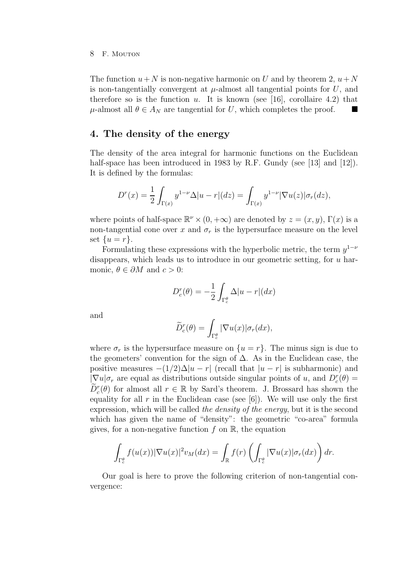The function  $u+N$  is non-negative harmonic on U and by theorem 2,  $u+N$ is non-tangentially convergent at  $\mu$ -almost all tangential points for U, and therefore so is the function u. It is known (see [16], corollaire 4.2) that  $\mu$ -almost all  $\theta \in A_N$  are tangential for U, which completes the proof.  $\blacksquare$ 

## **4. The density of the energy**

The density of the area integral for harmonic functions on the Euclidean half-space has been introduced in 1983 by R.F. Gundy (see [13] and [12]). It is defined by the formulas:

$$
D^{r}(x) = \frac{1}{2} \int_{\Gamma(x)} y^{1-\nu} \Delta |u-r| (dz) = \int_{\Gamma(x)} y^{1-\nu} |\nabla u(z)| \sigma_r(dz),
$$

where points of half-space  $\mathbb{R}^{\nu} \times (0, +\infty)$  are denoted by  $z = (x, y)$ ,  $\Gamma(x)$  is a non-tangential cone over x and  $\sigma_r$  is the hypersurface measure on the level set  $\{u=r\}$ .

Formulating these expressions with the hyperbolic metric, the term  $y^{1-\nu}$ disappears, which leads us to introduce in our geometric setting, for  $u$  harmonic,  $\theta \in \partial M$  and  $c > 0$ :

$$
D_c^r(\theta) = -\frac{1}{2} \int_{\Gamma_c^{\theta}} \Delta |u - r| (dx)
$$

and

$$
\widetilde{D}_c^r(\theta) = \int_{\Gamma_c^{\theta}} |\nabla u(x)| \sigma_r(dx),
$$

where  $\sigma_r$  is the hypersurface measure on  $\{u = r\}$ . The minus sign is due to the geometers' convention for the sign of  $\Delta$ . As in the Euclidean case, the positive measures  $-(1/2)\Delta |u-r|$  (recall that  $|u-r|$  is subharmonic) and  $|\nabla u| \sigma_r$  are equal as distributions outside singular points of u, and  $D_c^r(\theta) =$  $\widetilde{D}_c^r(\theta)$  for almost all  $r \in \mathbb{R}$  by Sard's theorem. J. Brossard has shown the equality for all  $r$  in the Euclidean case (see [6]). We will use only the first expression, which will be called *the density of the energy*, but it is the second which has given the name of "density": the geometric "co-area" formula gives, for a non-negative function  $f$  on  $\mathbb{R}$ , the equation

$$
\int_{\Gamma_c^{\theta}} f(u(x)) |\nabla u(x)|^2 v_M(dx) = \int_{\mathbb{R}} f(r) \left( \int_{\Gamma_c^{\theta}} |\nabla u(x)| \sigma_r(dx) \right) dr.
$$

Our goal is here to prove the following criterion of non-tangential convergence: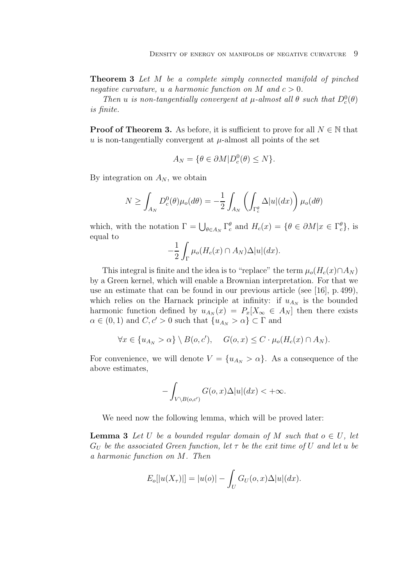**Theorem 3** *Let* M *be a complete simply connected manifold of pinched negative curvature,* u *a harmonic function on* M *and*  $c > 0$ .

*Then u is non-tangentially convergent at*  $\mu$ -*almost all*  $\theta$  *such that*  $D_c^0(\theta)$ *is finite.*

**Proof of Theorem 3.** As before, it is sufficient to prove for all  $N \in \mathbb{N}$  that u is non-tangentially convergent at  $\mu$ -almost all points of the set

$$
A_N = \{ \theta \in \partial M | D_c^0(\theta) \le N \}.
$$

By integration on  $A_N$ , we obtain

$$
N \ge \int_{A_N} D_c^0(\theta) \mu_o(d\theta) = -\frac{1}{2} \int_{A_N} \left( \int_{\Gamma_c^{\theta}} \Delta |u|(dx) \right) \mu_o(d\theta)
$$

which, with the notation  $\Gamma = \bigcup_{\theta \in A_N} \Gamma_c^{\theta}$  and  $H_c(x) = \{\theta \in \partial M | x \in \Gamma_c^{\theta}\}$ , is equal to

$$
-\frac{1}{2}\int_{\Gamma}\mu_o(H_c(x)\cap A_N)\Delta|u|(dx).
$$

This integral is finite and the idea is to "replace" the term  $\mu_o(H_c(x) \cap A_N)$ by a Green kernel, which will enable a Brownian interpretation. For that we use an estimate that can be found in our previous article (see [16], p. 499), which relies on the Harnack principle at infinity: if  $u_{A_N}$  is the bounded harmonic function defined by  $u_{A_N}(x) = P_x[X_\infty \in A_N]$  then there exists  $\alpha \in (0,1)$  and  $C,c' > 0$  such that  $\{u_{A_N} > \alpha\} \subset \Gamma$  and

$$
\forall x \in \{u_{A_N} > \alpha\} \setminus B(o, c'), \quad G(o, x) \leq C \cdot \mu_o(H_c(x) \cap A_N).
$$

For convenience, we will denote  $V = \{u_{A_N} > \alpha\}$ . As a consequence of the above estimates,

$$
-\int_{V\backslash B(o,c')}G(o,x)\Delta |u|(dx)<+\infty.
$$

We need now the following lemma, which will be proved later:

**Lemma 3** Let U be a bounded regular domain of M such that  $o \in U$ , let  $G_U$  *be the associated Green function, let*  $\tau$  *be the exit time of* U *and let* u *be a harmonic function on* M*. Then*

$$
E_o[|u(X_{\tau})|] = |u(o)| - \int_U G_U(o, x)\Delta|u|(dx).
$$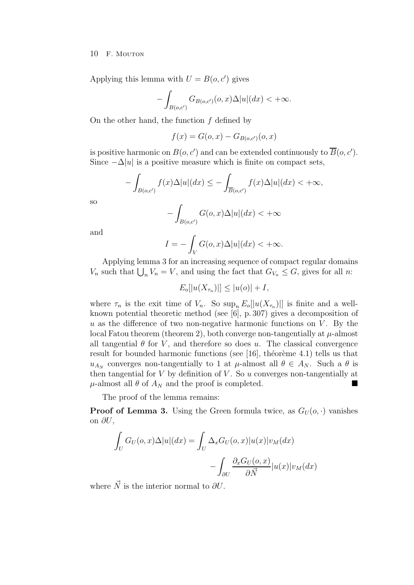Applying this lemma with  $U = B(o, c')$  gives

$$
-\int_{B(o,c')} G_{B(o,c')}(o,x)\Delta |u|(dx) < +\infty.
$$

On the other hand, the function  $f$  defined by

$$
f(x) = G(o, x) - G_{B(o, c')}(o, x)
$$

is positive harmonic on  $B(o, c')$  and can be extended continuously to  $\overline{B}(o, c')$ . Since  $-\Delta|u|$  is a positive measure which is finite on compact sets,

$$
-\int_{B(o,c')} f(x)\Delta|u|(dx) \le -\int_{\overline{B}(o,c')} f(x)\Delta|u|(dx) < +\infty,
$$
  

$$
-\int G(o,x)\Delta|u|(dx) < +\infty
$$

so

$$
-\int_{B(o,c')} G(o,x)\Delta|u|(dx) < +\infty
$$

and

$$
I = -\int_{V} G(o, x)\Delta |u|(dx) < +\infty.
$$

Applying lemma 3 for an increasing sequence of compact regular domains  $V_n$  such that  $\bigcup_n V_n = V$ , and using the fact that  $G_{V_n} \leq G$ , gives for all n:

 $E_o[|u(X_{\tau_n})|] \leq |u(o)| + I,$ 

where  $\tau_n$  is the exit time of  $V_n$ . So  $\sup_n E_o[|u(X_{\tau_n})|]$  is finite and a wellknown potential theoretic method (see [6], p. 307) gives a decomposition of  $u$  as the difference of two non-negative harmonic functions on  $V$ . By the local Fatou theorem (theorem 2), both converge non-tangentially at  $\mu$ -almost all tangential  $\theta$  for V, and therefore so does u. The classical convergence result for bounded harmonic functions (see  $[16]$ , théorème 4.1) tells us that  $u_{A_N}$  converges non-tangentially to 1 at  $\mu$ -almost all  $\theta \in A_N$ . Such a  $\theta$  is then tangential for  $V$  by definition of  $V$ . So  $u$  converges non-tangentially at  $\mu$ -almost all  $\theta$  of  $A_N$  and the proof is completed.

The proof of the lemma remains:

**Proof of Lemma 3.** Using the Green formula twice, as  $G_U(o, \cdot)$  vanishes on  $\partial U$ ,

$$
\int_{U} G_{U}(o, x) \Delta |u|(dx) = \int_{U} \Delta_{x} G_{U}(o, x) |u(x)| v_{M}(dx)
$$

$$
- \int_{\partial U} \frac{\partial_{x} G_{U}(o, x)}{\partial \vec{N}} |u(x)| v_{M}(dx)
$$

where  $\vec{N}$  is the interior normal to  $\partial U$ .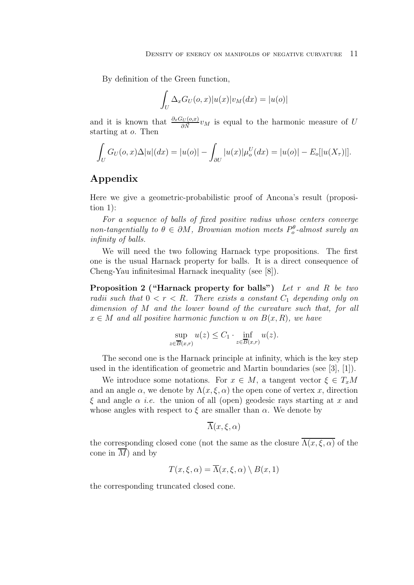By definition of the Green function,

$$
\int_U \Delta_x G_U(o, x) |u(x)| v_M(dx) = |u(o)|
$$

and it is known that  $\frac{\partial_x G_U(o,x)}{\partial \vec{N}} v_M$  is equal to the harmonic measure of U starting at o. Then

$$
\int_U G_U(o, x) \Delta |u|(dx) = |u(o)| - \int_{\partial U} |u(x)| \mu_o^U(dx) = |u(o)| - E_o[|u(X_\tau)|].
$$

# **Appendix**

Here we give a geometric-probabilistic proof of Ancona's result (proposition 1):

*For a sequence of balls of fixed positive radius whose centers converge*  $non-tangentially to  $\theta \in \partial M$ , Brownian motion meets  $P_o^{\theta}$ -almost surely an$ *infinity of balls.*

We will need the two following Harnack type propositions. The first one is the usual Harnack property for balls. It is a direct consequence of Cheng-Yau infinitesimal Harnack inequality (see [8]).

**Proposition 2 ("Harnack property for balls")** *Let* r *and* R *be two radii such that*  $0 < r < R$ *. There exists a constant*  $C_1$  *depending only on dimension of* M *and the lower bound of the curvature such that, for all*  $x \in M$  *and all positive harmonic function* u *on*  $B(x, R)$ *, we have* 

$$
\sup_{z \in \overline{B}(x,r)} u(z) \le C_1 \cdot \inf_{z \in \overline{B}(x,r)} u(z).
$$

The second one is the Harnack principle at infinity, which is the key step used in the identification of geometric and Martin boundaries (see [3], [1]).

We introduce some notations. For  $x \in M$ , a tangent vector  $\xi \in T_xM$ and an angle  $\alpha$ , we denote by  $\Lambda(x,\xi,\alpha)$  the open cone of vertex x, direction  $\xi$  and angle  $\alpha$  *i.e.* the union of all (open) geodesic rays starting at x and whose angles with respect to  $\xi$  are smaller than  $\alpha$ . We denote by

$$
\overline{\Lambda}(x,\xi,\alpha)
$$

the corresponding closed cone (not the same as the closure  $\overline{\Lambda(x,\xi,\alpha)}$  of the cone in  $\overline{M}$ ) and by

$$
T(x,\xi,\alpha) = \overline{\Lambda}(x,\xi,\alpha) \setminus B(x,1)
$$

the corresponding truncated closed cone.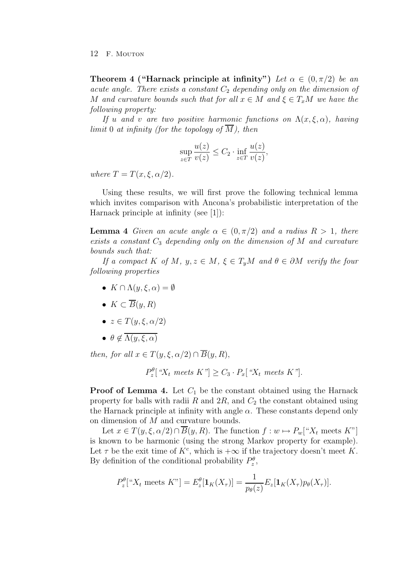**Theorem 4 ("Harnack principle at infinity")** Let  $\alpha \in (0, \pi/2)$  be an *acute angle. There exists a constant*  $C_2$  *depending only on the dimension of* M and curvature bounds such that for all  $x \in M$  and  $\xi \in T_xM$  we have the *following property:*

*If* u and v are two positive harmonic functions on  $\Lambda(x,\xi,\alpha)$ , having *limit* 0 *at infinity (for the topology of*  $\overline{M}$ *), then* 

$$
\sup_{z \in T} \frac{u(z)}{v(z)} \le C_2 \cdot \inf_{z \in T} \frac{u(z)}{v(z)},
$$

*where*  $T = T(x, \xi, \alpha/2)$ *.* 

Using these results, we will first prove the following technical lemma which invites comparison with Ancona's probabilistic interpretation of the Harnack principle at infinity (see [1]):

**Lemma 4** *Given an acute angle*  $\alpha \in (0, \pi/2)$  *and a radius*  $R > 1$ *, there exists a constant* C<sup>3</sup> *depending only on the dimension of* M *and curvature bounds such that:*

*If a compact* K *of* M,  $y, z \in M$ ,  $\xi \in T_yM$  *and*  $\theta \in \partial M$  *verify the four following properties*

- $K \cap \Lambda(u, \xi, \alpha) = \emptyset$
- $K \subset \overline{B}(y,R)$
- $z \in T(y, \xi, \alpha/2)$
- $\bullet$   $\theta \notin \overline{\Lambda(y,\xi,\alpha)}$

*then, for all*  $x \in T(y, \xi, \alpha/2) \cap \overline{B}(y, R)$ ,

 $P_z^{\theta}$ [" $X_t$  meets  $K$ "]  $\geq C_3 \cdot P_x$ [" $X_t$  meets  $K$ "].

**Proof of Lemma 4.** Let  $C_1$  be the constant obtained using the Harnack property for balls with radii R and  $2R$ , and  $C_2$  the constant obtained using the Harnack principle at infinity with angle  $\alpha$ . These constants depend only on dimension of M and curvature bounds.

Let  $x \in T(y,\xi,\alpha/2) \cap \overline{B}(y,R)$ . The function  $f: w \mapsto P_w[{}^u X_t$  meets  $K^v$ is known to be harmonic (using the strong Markov property for example). Let  $\tau$  be the exit time of  $K^c$ , which is  $+\infty$  if the trajectory doesn't meet K. By definition of the conditional probability  $P_z^{\theta}$ ,

$$
P_z^{\theta}[^{\alpha}X_t \text{ meets } K^{\gamma}] = E_z^{\theta}[\mathbf{1}_K(X_{\tau})] = \frac{1}{p_{\theta}(z)} E_z[\mathbf{1}_K(X_{\tau})p_{\theta}(X_{\tau})].
$$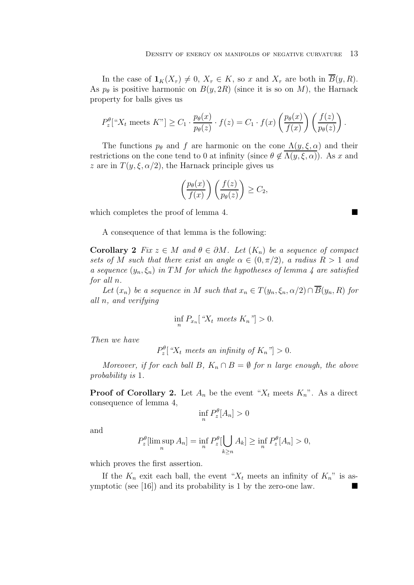In the case of  $\mathbf{1}_K(X_\tau) \neq 0$ ,  $X_\tau \in K$ , so x and  $X_\tau$  are both in  $\overline{B}(y,R)$ . As  $p_{\theta}$  is positive harmonic on  $B(y, 2R)$  (since it is so on M), the Harnack property for balls gives us

$$
P_z^{\theta}[^{\alpha}X_t \text{ meets } K^{\gamma}] \geq C_1 \cdot \frac{p_{\theta}(x)}{p_{\theta}(z)} \cdot f(z) = C_1 \cdot f(x) \left(\frac{p_{\theta}(x)}{f(x)}\right) \left(\frac{f(z)}{p_{\theta}(z)}\right).
$$

The functions  $p_{\theta}$  and f are harmonic on the cone  $\Lambda(y,\xi,\alpha)$  and their restrictions on the cone tend to 0 at infinity (since  $\theta \notin \Lambda(y,\xi,\alpha)$ ). As x and z are in  $T(y,\xi,\alpha/2)$ , the Harnack principle gives us

$$
\left(\frac{p_{\theta}(x)}{f(x)}\right)\left(\frac{f(z)}{p_{\theta}(z)}\right) \geq C_2,
$$

which completes the proof of lemma 4.

A consequence of that lemma is the following:

**Corollary 2** *Fix*  $z \in M$  *and*  $\theta \in \partial M$ *. Let*  $(K_n)$  *be a sequence of compact sets of* M *such that there exist an angle*  $\alpha \in (0, \pi/2)$ *, a radius*  $R > 1$  *and a sequence*  $(y_n, \xi_n)$  *in* TM for which the hypotheses of lemma 4 are satisfied *for all* n*.*

*Let*  $(x_n)$  *be a sequence in* M *such that*  $x_n \in T(y_n, \xi_n, \alpha/2) \cap \overline{B}(y_n, R)$  *for all* n*, and verifying*

$$
\inf_{n} P_{x_n} \left[ \, ^{a}X_t \text{ meets } K_n \, ^{v} \right] > 0.
$$

*Then we have*

 $P_z^{\theta}$  [" $X_t$  meets an infinity of  $K_n$ "] > 0.

*Moreover, if for each ball* B,  $K_n \cap B = \emptyset$  *for* n *large enough, the above probability is* 1*.*

**Proof of Corollary 2.** Let  $A_n$  be the event " $X_t$  meets  $K_n$ ". As a direct consequence of lemma 4,

$$
\inf_n P_z^{\theta}[A_n] > 0
$$

and

$$
P_z^{\theta}[\limsup_n A_n] = \inf_n P_z^{\theta}[\bigcup_{k \ge n} A_k] \ge \inf_n P_z^{\theta}[A_n] > 0,
$$

which proves the first assertion.

If the  $K_n$  exit each ball, the event " $X_t$  meets an infinity of  $K_n$ " is asymptotic (see [16]) and its probability is 1 by the zero-one law.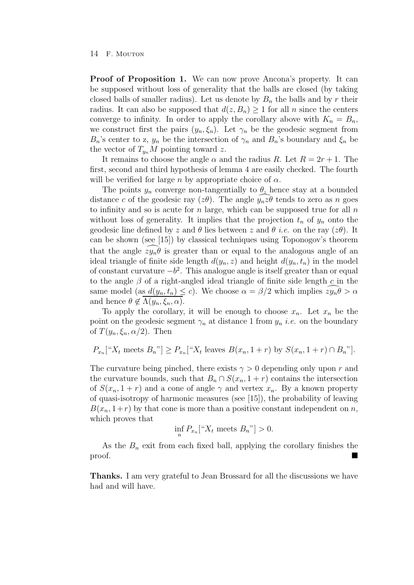**Proof of Proposition 1.** We can now prove Ancona's property. It can be supposed without loss of generality that the balls are closed (by taking closed balls of smaller radius). Let us denote by  $B_n$  the balls and by r their radius. It can also be supposed that  $d(z, B_n) \geq 1$  for all n since the centers converge to infinity. In order to apply the corollary above with  $K_n = B_n$ , we construct first the pairs  $(y_n, \xi_n)$ . Let  $\gamma_n$  be the geodesic segment from  $B_n$ 's center to z,  $y_n$  be the intersection of  $\gamma_n$  and  $B_n$ 's boundary and  $\xi_n$  be the vector of  $T_{u_n}M$  pointing toward z.

It remains to choose the angle  $\alpha$  and the radius R. Let  $R = 2r + 1$ . The first, second and third hypothesis of lemma 4 are easily checked. The fourth will be verified for large n by appropriate choice of  $\alpha$ .

The points  $y_n$  converge non-tangentially to  $\theta_1$  hence stay at a bounded distance c of the geodesic ray ( $z\theta$ ). The angle  $\widehat{y_nz\theta}$  tends to zero as n goes to infinity and so is acute for  $n$  large, which can be supposed true for all  $n$ without loss of generality. It implies that the projection  $t_n$  of  $y_n$  onto the geodesic line defined by z and  $\theta$  lies between z and  $\theta$  *i.e.* on the ray ( $z\theta$ ). It can be shown (see [15]) by classical techniques using Toponogov's theorem that the angle  $zy_n\theta$  is greater than or equal to the analogous angle of an ideal triangle of finite side length  $d(y_n, z)$  and height  $d(y_n, t_n)$  in the model of constant curvature  $-b^2$ . This analogue angle is itself greater than or equal to the angle  $\beta$  of a right-angled ideal triangle of finite side length c in the same model (as  $d(y_n, t_n) \leq c$ ). We choose  $\alpha = \beta/2$  which implies  $zy_n\theta > \alpha$ and hence  $\theta \notin \Lambda(y_n, \xi_n, \alpha)$ .

To apply the corollary, it will be enough to choose  $x_n$ . Let  $x_n$  be the point on the geodesic segment  $\gamma_n$  at distance 1 from  $y_n$  *i.e.* on the boundary of  $T(y_n, \xi_n, \alpha/2)$ . Then

$$
P_{x_n}["X_t \text{ meets } B_n"] \ge P_{x_n}["X_t \text{ leaves } B(x_n, 1+r) \text{ by } S(x_n, 1+r) \cap B_n"]
$$
.

The curvature being pinched, there exists  $\gamma > 0$  depending only upon r and the curvature bounds, such that  $B_n \cap S(x_n, 1 + r)$  contains the intersection of  $S(x_n, 1 + r)$  and a cone of angle  $\gamma$  and vertex  $x_n$ . By a known property of quasi-isotropy of harmonic measures (see [15]), the probability of leaving  $B(x_n, 1+r)$  by that cone is more than a positive constant independent on n, which proves that

$$
\inf_n P_{x_n}[^{\alpha}X_t \text{ meets } B_n"] > 0.
$$

As the  $B_n$  exit from each fixed ball, applying the corollary finishes the proof.

**Thanks.** I am very grateful to Jean Brossard for all the discussions we have had and will have.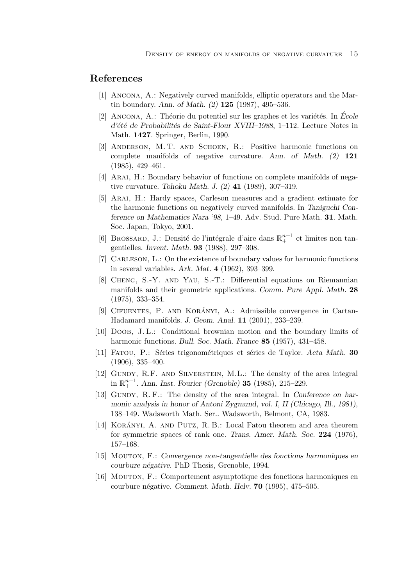## **References**

- [1] Ancona, A.: Negatively curved manifolds, elliptic operators and the Martin boundary. *Ann. of Math. (2)* **125** (1987), 495–536.
- $[2]$  ANCONA, A.: Théorie du potentiel sur les graphes et les variétés. In *École d'*été de Probabilités de Saint-Flour XVIII–1988, 1–112. Lecture Notes in Math. **1427**. Springer, Berlin, 1990.
- [3] Anderson, M. T. and Schoen, R.: Positive harmonic functions on complete manifolds of negative curvature. *Ann. of Math. (2)* **121** (1985), 429–461.
- [4] ARAI, H.: Boundary behavior of functions on complete manifolds of negative curvature. *Tohoku Math. J. (2)* **41** (1989), 307–319.
- [5] Arai, H.: Hardy spaces, Carleson measures and a gradient estimate for the harmonic functions on negatively curved manifolds. In *Taniguchi Conference on Mathematics Nara '98*, 1–49. Adv. Stud. Pure Math. **31**. Math. Soc. Japan, Tokyo, 2001.
- [6] BROSSARD, J.: Densité de l'intégrale d'aire dans  $\mathbb{R}^{n+1}_+$  et limites non tangentielles. *Invent. Math.* **93** (1988), 297–308.
- [7] Carleson, L.: On the existence of boundary values for harmonic functions in several variables. *Ark. Mat.* **4** (1962), 393–399.
- [8] Cheng, S.-Y. and Yau, S.-T.: Differential equations on Riemannian manifolds and their geometric applications. *Comm. Pure Appl. Math.* **28** (1975), 333–354.
- [9] CIFUENTES, P. AND KORÁNYI, A.: Admissible convergence in Cartan-Hadamard manifolds. *J. Geom. Anal.* **11** (2001), 233–239.
- [10] Doob, J. L.: Conditional brownian motion and the boundary limits of harmonic functions. *Bull. Soc. Math. France* **85** (1957), 431–458.
- [11] Fatou, P.: S´eries trigonom´etriques et s´eries de Taylor. *Acta Math.* **30** (1906), 335–400.
- [12] GUNDY, R.F. AND SILVERSTEIN, M.L.: The density of the area integral  $\lim_{n \to \infty} \mathbb{R}^{n+1}$ . *Ann. Inst. Fourier (Grenoble)* **35** (1985), 215–229.
- [13] GUNDY, R. F.: The density of the area integral. In *Conference on harmonic analysis in honor of Antoni Zygmund, vol. I, II (Chicago, Ill., 1981)*, 138–149. Wadsworth Math. Ser.. Wadsworth, Belmont, CA, 1983.
- [14] KORÁNYI, A. AND PUTZ, R. B.: Local Fatou theorem and area theorem for symmetric spaces of rank one. *Trans. Amer. Math. Soc.* **224** (1976), 157–168.
- [15] Mouton, F.: *Convergence non-tangentielle des fonctions harmoniques en courbure n´egative*. PhD Thesis, Grenoble, 1994.
- [16] Mouton, F.: Comportement asymptotique des fonctions harmoniques en courbure n´egative. *Comment. Math. Helv.* **70** (1995), 475–505.